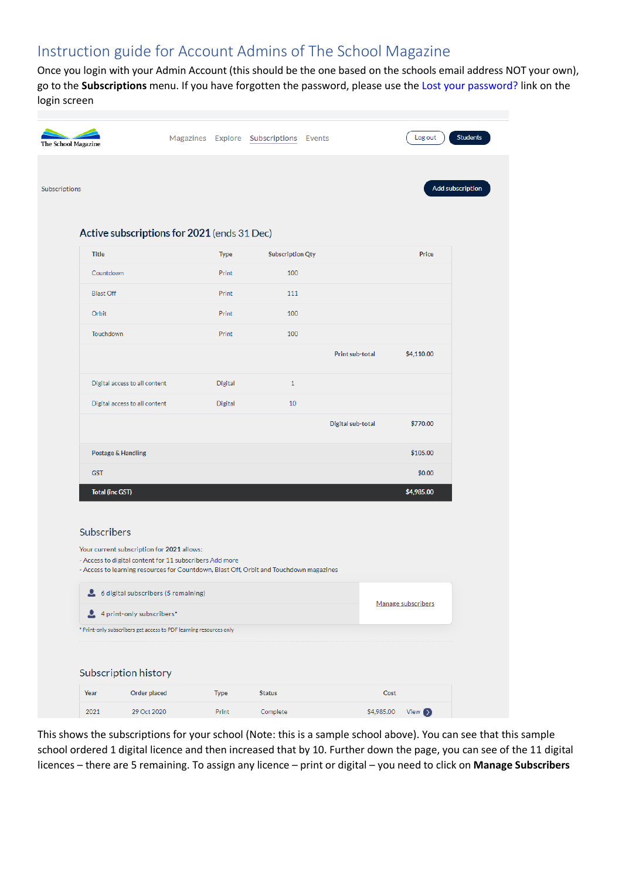## Instruction guide for Account Admins of The School Magazine

Once you login with your Admin Account (this should be the one based on the schools email address NOT your own), go to the **Subscriptions** menu. If you have forgotten the password, please use the Lost your password? link on the login screen

| <b>The School Magazine</b> |                                                                                                                                                   |             | Magazines Explore Subscriptions Events |                   |            | Log out            | <b>Students</b>  |
|----------------------------|---------------------------------------------------------------------------------------------------------------------------------------------------|-------------|----------------------------------------|-------------------|------------|--------------------|------------------|
|                            |                                                                                                                                                   |             |                                        |                   |            |                    |                  |
| Subscriptions              |                                                                                                                                                   |             |                                        |                   |            |                    | Add subscription |
|                            |                                                                                                                                                   |             |                                        |                   |            |                    |                  |
|                            | Active subscriptions for 2021 (ends 31 Dec)                                                                                                       |             |                                        |                   |            |                    |                  |
|                            | <b>Title</b>                                                                                                                                      | <b>Type</b> | <b>Subscription Qty</b>                |                   |            | Price              |                  |
|                            | Countdown                                                                                                                                         | Print       | 100                                    |                   |            |                    |                  |
|                            | <b>Blast Off</b>                                                                                                                                  | Print       | 111                                    |                   |            |                    |                  |
|                            | Orbit                                                                                                                                             | Print       | 100                                    |                   |            |                    |                  |
|                            | Touchdown                                                                                                                                         | Print       | 100                                    |                   |            |                    |                  |
|                            |                                                                                                                                                   |             |                                        | Print sub-total   |            | \$4,110.00         |                  |
|                            | Digital access to all content                                                                                                                     | Digital     | $\mathbf{1}$                           |                   |            |                    |                  |
|                            | Digital access to all content                                                                                                                     | Digital     | 10                                     |                   |            |                    |                  |
|                            |                                                                                                                                                   |             |                                        | Digital sub-total |            | \$770.00           |                  |
|                            | Postage & Handling                                                                                                                                |             |                                        |                   |            | \$105.00           |                  |
|                            | <b>GST</b>                                                                                                                                        |             |                                        |                   |            | \$0.00             |                  |
|                            | <b>Total (inc GST)</b>                                                                                                                            |             |                                        |                   |            | \$4,985.00         |                  |
|                            |                                                                                                                                                   |             |                                        |                   |            |                    |                  |
|                            | Subscribers                                                                                                                                       |             |                                        |                   |            |                    |                  |
|                            | Your current subscription for 2021 allows:                                                                                                        |             |                                        |                   |            |                    |                  |
|                            | - Access to digital content for 11 subscribers Add more<br>- Access to learning resources for Countdown, Blast Off, Orbit and Touchdown magazines |             |                                        |                   |            |                    |                  |
|                            | 6 digital subscribers (5 remaining)                                                                                                               |             |                                        |                   |            |                    |                  |
|                            | 4 print-only subscribers*                                                                                                                         |             |                                        |                   |            | Manage subscribers |                  |
|                            | * Print-only subscribers get access to PDF learning resources only                                                                                |             |                                        |                   |            |                    |                  |
|                            |                                                                                                                                                   |             |                                        |                   |            |                    |                  |
|                            | Subscription history                                                                                                                              |             |                                        |                   |            |                    |                  |
|                            | Year<br><b>Order placed</b>                                                                                                                       | <b>Type</b> | <b>Status</b>                          |                   | Cost       |                    |                  |
|                            | 2021<br>29 Oct 2020                                                                                                                               | Print       | Complete                               |                   | \$4,985.00 | View $\bigcirc$    |                  |

This shows the subscriptions for your school (Note: this is a sample school above). You can see that this sample school ordered 1 digital licence and then increased that by 10. Further down the page, you can see of the 11 digital licences – there are 5 remaining. To assign any licence – print or digital – you need to click on **Manage Subscribers**